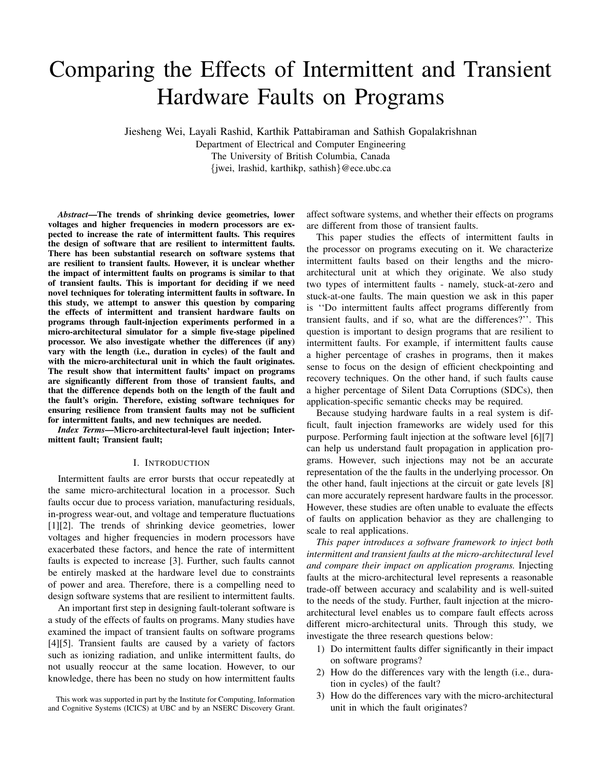# Comparing the Effects of Intermittent and Transient Hardware Faults on Programs

Jiesheng Wei, Layali Rashid, Karthik Pattabiraman and Sathish Gopalakrishnan Department of Electrical and Computer Engineering The University of British Columbia, Canada {jwei, lrashid, karthikp, sathish}@ece.ubc.ca

*Abstract*—The trends of shrinking device geometries, lower voltages and higher frequencies in modern processors are expected to increase the rate of intermittent faults. This requires the design of software that are resilient to intermittent faults. There has been substantial research on software systems that are resilient to transient faults. However, it is unclear whether the impact of intermittent faults on programs is similar to that of transient faults. This is important for deciding if we need novel techniques for tolerating intermittent faults in software. In this study, we attempt to answer this question by comparing the effects of intermittent and transient hardware faults on programs through fault-injection experiments performed in a micro-architectural simulator for a simple five-stage pipelined processor. We also investigate whether the differences (if any) vary with the length (i.e., duration in cycles) of the fault and with the micro-architectural unit in which the fault originates. The result show that intermittent faults' impact on programs are significantly different from those of transient faults, and that the difference depends both on the length of the fault and the fault's origin. Therefore, existing software techniques for ensuring resilience from transient faults may not be sufficient for intermittent faults, and new techniques are needed.

*Index Terms*—Micro-architectural-level fault injection; Intermittent fault; Transient fault;

#### I. INTRODUCTION

Intermittent faults are error bursts that occur repeatedly at the same micro-architectural location in a processor. Such faults occur due to process variation, manufacturing residuals, in-progress wear-out, and voltage and temperature fluctuations [1][2]. The trends of shrinking device geometries, lower voltages and higher frequencies in modern processors have exacerbated these factors, and hence the rate of intermittent faults is expected to increase [3]. Further, such faults cannot be entirely masked at the hardware level due to constraints of power and area. Therefore, there is a compelling need to design software systems that are resilient to intermittent faults.

An important first step in designing fault-tolerant software is a study of the effects of faults on programs. Many studies have examined the impact of transient faults on software programs [4][5]. Transient faults are caused by a variety of factors such as ionizing radiation, and unlike intermittent faults, do not usually reoccur at the same location. However, to our knowledge, there has been no study on how intermittent faults

This work was supported in part by the Institute for Computing, Information and Cognitive Systems (ICICS) at UBC and by an NSERC Discovery Grant. affect software systems, and whether their effects on programs are different from those of transient faults.

This paper studies the effects of intermittent faults in the processor on programs executing on it. We characterize intermittent faults based on their lengths and the microarchitectural unit at which they originate. We also study two types of intermittent faults - namely, stuck-at-zero and stuck-at-one faults. The main question we ask in this paper is ''Do intermittent faults affect programs differently from transient faults, and if so, what are the differences?''. This question is important to design programs that are resilient to intermittent faults. For example, if intermittent faults cause a higher percentage of crashes in programs, then it makes sense to focus on the design of efficient checkpointing and recovery techniques. On the other hand, if such faults cause a higher percentage of Silent Data Corruptions (SDCs), then application-specific semantic checks may be required.

Because studying hardware faults in a real system is difficult, fault injection frameworks are widely used for this purpose. Performing fault injection at the software level [6][7] can help us understand fault propagation in application programs. However, such injections may not be an accurate representation of the the faults in the underlying processor. On the other hand, fault injections at the circuit or gate levels [8] can more accurately represent hardware faults in the processor. However, these studies are often unable to evaluate the effects of faults on application behavior as they are challenging to scale to real applications.

*This paper introduces a software framework to inject both intermittent and transient faults at the micro-architectural level and compare their impact on application programs.* Injecting faults at the micro-architectural level represents a reasonable trade-off between accuracy and scalability and is well-suited to the needs of the study. Further, fault injection at the microarchitectural level enables us to compare fault effects across different micro-architectural units. Through this study, we investigate the three research questions below:

- 1) Do intermittent faults differ significantly in their impact on software programs?
- 2) How do the differences vary with the length (i.e., duration in cycles) of the fault?
- 3) How do the differences vary with the micro-architectural unit in which the fault originates?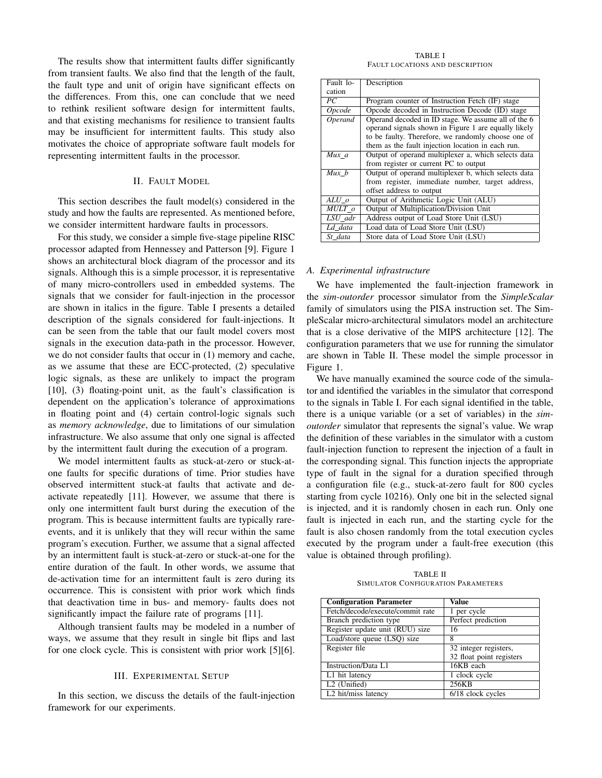The results show that intermittent faults differ significantly from transient faults. We also find that the length of the fault, the fault type and unit of origin have significant effects on the differences. From this, one can conclude that we need to rethink resilient software design for intermittent faults, and that existing mechanisms for resilience to transient faults may be insufficient for intermittent faults. This study also motivates the choice of appropriate software fault models for representing intermittent faults in the processor.

#### II. FAULT MODEL

This section describes the fault model(s) considered in the study and how the faults are represented. As mentioned before, we consider intermittent hardware faults in processors.

For this study, we consider a simple five-stage pipeline RISC processor adapted from Hennessey and Patterson [9]. Figure 1 shows an architectural block diagram of the processor and its signals. Although this is a simple processor, it is representative of many micro-controllers used in embedded systems. The signals that we consider for fault-injection in the processor are shown in italics in the figure. Table I presents a detailed description of the signals considered for fault-injections. It can be seen from the table that our fault model covers most signals in the execution data-path in the processor. However, we do not consider faults that occur in (1) memory and cache, as we assume that these are ECC-protected, (2) speculative logic signals, as these are unlikely to impact the program [10], (3) floating-point unit, as the fault's classification is dependent on the application's tolerance of approximations in floating point and (4) certain control-logic signals such as *memory acknowledge*, due to limitations of our simulation infrastructure. We also assume that only one signal is affected by the intermittent fault during the execution of a program.

We model intermittent faults as stuck-at-zero or stuck-atone faults for specific durations of time. Prior studies have observed intermittent stuck-at faults that activate and deactivate repeatedly [11]. However, we assume that there is only one intermittent fault burst during the execution of the program. This is because intermittent faults are typically rareevents, and it is unlikely that they will recur within the same program's execution. Further, we assume that a signal affected by an intermittent fault is stuck-at-zero or stuck-at-one for the entire duration of the fault. In other words, we assume that de-activation time for an intermittent fault is zero during its occurrence. This is consistent with prior work which finds that deactivation time in bus- and memory- faults does not significantly impact the failure rate of programs [11].

Although transient faults may be modeled in a number of ways, we assume that they result in single bit flips and last for one clock cycle. This is consistent with prior work [5][6].

#### III. EXPERIMENTAL SETUP

In this section, we discuss the details of the fault-injection framework for our experiments.

TABLE I FAULT LOCATIONS AND DESCRIPTION

| Fault lo-            | Description                                          |
|----------------------|------------------------------------------------------|
| cation               |                                                      |
| РC                   | Program counter of Instruction Fetch (IF) stage      |
| <i>Opcode</i>        | Opcode decoded in Instruction Decode (ID) stage      |
| Operand              | Operand decoded in ID stage. We assume all of the 6  |
|                      | operand signals shown in Figure 1 are equally likely |
|                      | to be faulty. Therefore, we randomly choose one of   |
|                      | them as the fault injection location in each run.    |
| Mux a                | Output of operand multiplexer a, which selects data  |
|                      | from register or current PC to output                |
| $Mux$ $\overline{b}$ | Output of operand multiplexer b, which selects data  |
|                      | from register, immediate number, target address,     |
|                      | offset address to output                             |
| ALU o                | Output of Arithmetic Logic Unit (ALU)                |
| MULT o               | Output of Multiplication/Division Unit               |
| LSU adr              | Address output of Load Store Unit (LSU)              |
| Ld data              | Load data of Load Store Unit (LSU)                   |
| St data              | Store data of Load Store Unit (LSU)                  |

## *A. Experimental infrastructure*

We have implemented the fault-injection framework in the *sim-outorder* processor simulator from the *SimpleScalar* family of simulators using the PISA instruction set. The SimpleScalar micro-architectural simulators model an architecture that is a close derivative of the MIPS architecture [12]. The configuration parameters that we use for running the simulator are shown in Table II. These model the simple processor in Figure 1.

We have manually examined the source code of the simulator and identified the variables in the simulator that correspond to the signals in Table I. For each signal identified in the table, there is a unique variable (or a set of variables) in the *simoutorder* simulator that represents the signal's value. We wrap the definition of these variables in the simulator with a custom fault-injection function to represent the injection of a fault in the corresponding signal. This function injects the appropriate type of fault in the signal for a duration specified through a configuration file (e.g., stuck-at-zero fault for 800 cycles starting from cycle 10216). Only one bit in the selected signal is injected, and it is randomly chosen in each run. Only one fault is injected in each run, and the starting cycle for the fault is also chosen randomly from the total execution cycles executed by the program under a fault-free execution (this value is obtained through profiling).

TABLE II SIMULATOR CONFIGURATION PARAMETERS

| <b>Configuration Parameter</b>   | Value                    |  |  |  |
|----------------------------------|--------------------------|--|--|--|
| Fetch/decode/execute/commit rate | 1 per cycle              |  |  |  |
| Branch prediction type           | Perfect prediction       |  |  |  |
| Register update unit (RUU) size  | 16                       |  |  |  |
| Load/store queue (LSQ) size      | 8                        |  |  |  |
| Register file                    | 32 integer registers,    |  |  |  |
|                                  | 32 float point registers |  |  |  |
| Instruction/Data L1              | 16KB each                |  |  |  |
| L1 hit latency                   | 1 clock cycle            |  |  |  |
| $L2$ (Unified)                   | 256KB                    |  |  |  |
| $\overline{L2}$ hit/miss latency | 6/18 clock cycles        |  |  |  |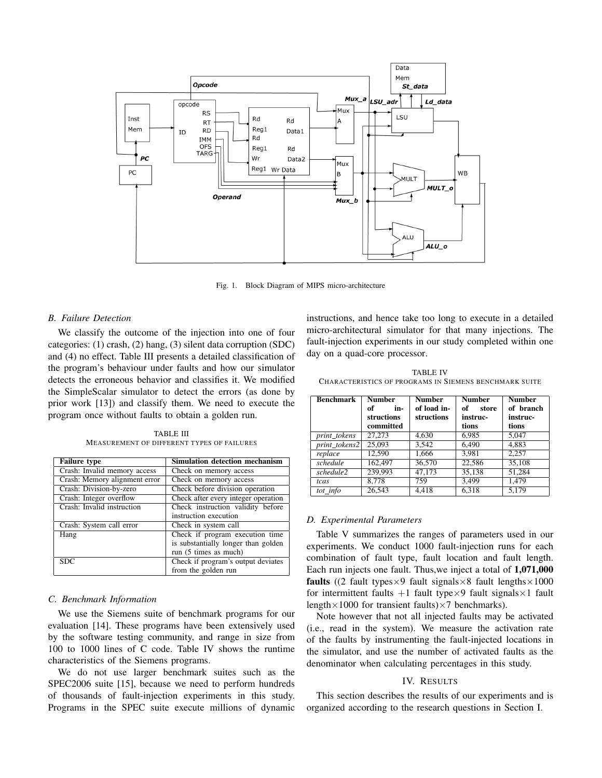

Fig. 1. Block Diagram of MIPS micro-architecture

### *B. Failure Detection*

We classify the outcome of the injection into one of four categories: (1) crash, (2) hang, (3) silent data corruption (SDC) and (4) no effect. Table III presents a detailed classification of the program's behaviour under faults and how our simulator detects the erroneous behavior and classifies it. We modified the SimpleScalar simulator to detect the errors (as done by prior work [13]) and classify them. We need to execute the program once without faults to obtain a golden run.

TABLE III MEASUREMENT OF DIFFERENT TYPES OF FAILURES

| <b>Failure</b> type           | <b>Simulation detection mechanism</b> |
|-------------------------------|---------------------------------------|
| Crash: Invalid memory access  | Check on memory access                |
| Crash: Memory alignment error | Check on memory access                |
| Crash: Division-by-zero       | Check before division operation       |
| Crash: Integer overflow       | Check after every integer operation   |
| Crash: Invalid instruction    | Check instruction validity before     |
|                               | instruction execution                 |
| Crash: System call error      | Check in system call                  |
| Hang                          | Check if program execution time       |
|                               | is substantially longer than golden   |
|                               | run (5 times as much)                 |
| <b>SDC</b>                    | Check if program's output deviates    |
|                               | from the golden run                   |

## *C. Benchmark Information*

We use the Siemens suite of benchmark programs for our evaluation [14]. These programs have been extensively used by the software testing community, and range in size from 100 to 1000 lines of C code. Table IV shows the runtime characteristics of the Siemens programs.

We do not use larger benchmark suites such as the SPEC2006 suite [15], because we need to perform hundreds of thousands of fault-injection experiments in this study. Programs in the SPEC suite execute millions of dynamic instructions, and hence take too long to execute in a detailed micro-architectural simulator for that many injections. The fault-injection experiments in our study completed within one day on a quad-core processor.

TABLE IV CHARACTERISTICS OF PROGRAMS IN SIEMENS BENCHMARK SUITE

| <b>Benchmark</b>       | <b>Number</b><br>of<br>in-<br>structions<br>committed | <b>Number</b><br>of load in-<br>structions | Number<br>of<br>store<br>instruc-<br>tions | <b>Number</b><br>of branch<br>instruc-<br>tions |
|------------------------|-------------------------------------------------------|--------------------------------------------|--------------------------------------------|-------------------------------------------------|
| print tokens           | 27.273                                                | 4,630                                      | 6,985                                      | 5.047                                           |
| print tokens2          | 25,093                                                | 3,542                                      | 6.490                                      | 4,883                                           |
| replace                | 12.590                                                | 1,666                                      | 3,981                                      | 2.257                                           |
| schedule               | 162,497                                               | 36,570                                     | 22,586                                     | 35,108                                          |
| schedule2              | 239,993                                               | 47,173                                     | 35,138                                     | 51,284                                          |
| tcas                   | 8,778                                                 | 759                                        | 3.499                                      | 1.479                                           |
| $tot\_in\overline{fo}$ | 26.543                                                | 4.418                                      | 6,318                                      | 5.179                                           |

# *D. Experimental Parameters*

Table V summarizes the ranges of parameters used in our experiments. We conduct 1000 fault-injection runs for each combination of fault type, fault location and fault length. Each run injects one fault. Thus,we inject a total of 1,071,000 **faults** ((2 fault types  $\times$ 9 fault signals  $\times$ 8 fault lengths  $\times$  1000 for intermittent faults  $+1$  fault type $\times$ 9 fault signals $\times$ 1 fault length $\times$ 1000 for transient faults) $\times$ 7 benchmarks).

Note however that not all injected faults may be activated (i.e., read in the system). We measure the activation rate of the faults by instrumenting the fault-injected locations in the simulator, and use the number of activated faults as the denominator when calculating percentages in this study.

## IV. RESULTS

This section describes the results of our experiments and is organized according to the research questions in Section I.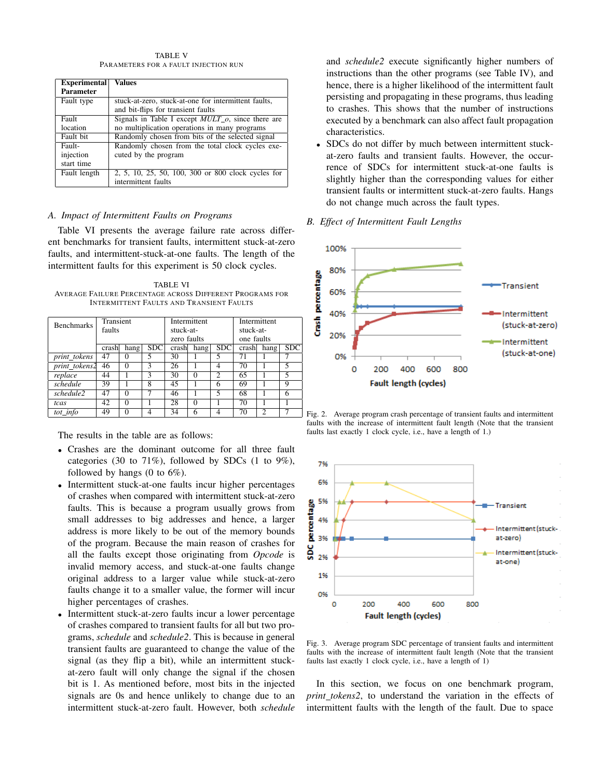TABLE V PARAMETERS FOR A FAULT INJECTION RUN

| Experimental     | <b>Values</b>                                         |
|------------------|-------------------------------------------------------|
| <b>Parameter</b> |                                                       |
| Fault type       | stuck-at-zero, stuck-at-one for intermittent faults,  |
|                  | and bit-flips for transient faults                    |
| Fault            | Signals in Table I except $MULT\_o$ , since there are |
| location         | no multiplication operations in many programs         |
| Fault bit        | Randomly chosen from bits of the selected signal      |
| Fault-           | Randomly chosen from the total clock cycles exe-      |
| injection        | cuted by the program                                  |
| start time       |                                                       |
| Fault length     | 2, 5, 10, 25, 50, 100, 300 or 800 clock cycles for    |
|                  | intermittent faults                                   |

## *A. Impact of Intermittent Faults on Programs*

Table VI presents the average failure rate across different benchmarks for transient faults, intermittent stuck-at-zero faults, and intermittent-stuck-at-one faults. The length of the intermittent faults for this experiment is 50 clock cycles.

TABLE VI AVERAGE FAILURE PERCENTAGE ACROSS DIFFERENT PROGRAMS FOR INTERMITTENT FAULTS AND TRANSIENT FAULTS

| <b>Benchmarks</b> | Transient |          | Intermittent |             | Intermittent |                |            |      |            |
|-------------------|-----------|----------|--------------|-------------|--------------|----------------|------------|------|------------|
|                   | faults    |          |              | stuck-at-   |              |                | stuck-at-  |      |            |
|                   |           |          |              | zero faults |              |                | one faults |      |            |
|                   | crash     | hang     | <b>SDC</b>   | crash       | hang         | <b>SDC</b>     | crash      | hang | <b>SDC</b> |
| print_tokens      | 47        | 0        | 5            | 30          |              | 5              | 71         |      |            |
| print tokens2     | 46        | 0        | 3            | 26          |              | 4              | 70         |      | 5          |
| replace           | 44        |          | 3            | 30          | $\Omega$     | $\overline{c}$ | 65         |      | 5          |
| schedule          | 39        |          | 8            | 45          |              | 6              | 69         |      | 9          |
| schedule2         | 47        | 0        |              | 46          |              | 5              | 68         |      | 6          |
| tcas              | 42        | $\Omega$ |              | 28          | $\Omega$     |                | 70         |      |            |
| tot_info          | 49        |          |              | 34          |              |                | 70         |      |            |

The results in the table are as follows:

- Crashes are the dominant outcome for all three fault categories (30 to 71%), followed by SDCs (1 to  $9\%$ ), followed by hangs (0 to  $6\%$ ).
- Intermittent stuck-at-one faults incur higher percentages of crashes when compared with intermittent stuck-at-zero faults. This is because a program usually grows from small addresses to big addresses and hence, a larger address is more likely to be out of the memory bounds of the program. Because the main reason of crashes for all the faults except those originating from *Opcode* is invalid memory access, and stuck-at-one faults change original address to a larger value while stuck-at-zero faults change it to a smaller value, the former will incur higher percentages of crashes.
- Intermittent stuck-at-zero faults incur a lower percentage of crashes compared to transient faults for all but two programs, *schedule* and *schedule2*. This is because in general transient faults are guaranteed to change the value of the signal (as they flip a bit), while an intermittent stuckat-zero fault will only change the signal if the chosen bit is 1. As mentioned before, most bits in the injected signals are 0s and hence unlikely to change due to an intermittent stuck-at-zero fault. However, both *schedule*

and *schedule2* execute significantly higher numbers of instructions than the other programs (see Table IV), and hence, there is a higher likelihood of the intermittent fault persisting and propagating in these programs, thus leading to crashes. This shows that the number of instructions executed by a benchmark can also affect fault propagation characteristics.

- SDCs do not differ by much between intermittent stuckat-zero faults and transient faults. However, the occurrence of SDCs for intermittent stuck-at-one faults is slightly higher than the corresponding values for either transient faults or intermittent stuck-at-zero faults. Hangs do not change much across the fault types.
- *B. Effect of Intermittent Fault Lengths*



Fig. 2. Average program crash percentage of transient faults and intermittent faults with the increase of intermittent fault length (Note that the transient faults last exactly 1 clock cycle, i.e., have a length of 1.)



Fig. 3. Average program SDC percentage of transient faults and intermittent faults with the increase of intermittent fault length (Note that the transient faults last exactly 1 clock cycle, i.e., have a length of 1)

In this section, we focus on one benchmark program, *print tokens2*, to understand the variation in the effects of intermittent faults with the length of the fault. Due to space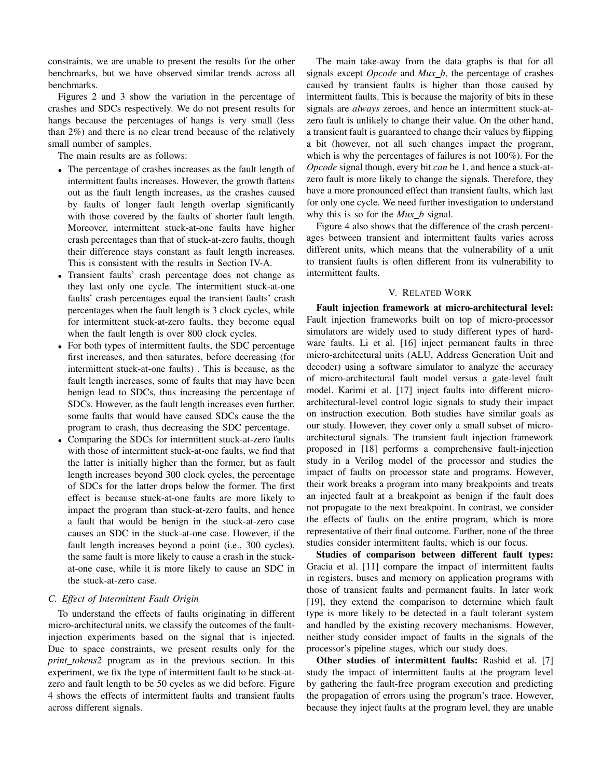constraints, we are unable to present the results for the other benchmarks, but we have observed similar trends across all benchmarks.

Figures 2 and 3 show the variation in the percentage of crashes and SDCs respectively. We do not present results for hangs because the percentages of hangs is very small (less than 2%) and there is no clear trend because of the relatively small number of samples.

The main results are as follows:

- The percentage of crashes increases as the fault length of intermittent faults increases. However, the growth flattens out as the fault length increases, as the crashes caused by faults of longer fault length overlap significantly with those covered by the faults of shorter fault length. Moreover, intermittent stuck-at-one faults have higher crash percentages than that of stuck-at-zero faults, though their difference stays constant as fault length increases. This is consistent with the results in Section IV-A.
- Transient faults' crash percentage does not change as they last only one cycle. The intermittent stuck-at-one faults' crash percentages equal the transient faults' crash percentages when the fault length is 3 clock cycles, while for intermittent stuck-at-zero faults, they become equal when the fault length is over 800 clock cycles.
- For both types of intermittent faults, the SDC percentage first increases, and then saturates, before decreasing (for intermittent stuck-at-one faults) . This is because, as the fault length increases, some of faults that may have been benign lead to SDCs, thus increasing the percentage of SDCs. However, as the fault length increases even further, some faults that would have caused SDCs cause the the program to crash, thus decreasing the SDC percentage.
- Comparing the SDCs for intermittent stuck-at-zero faults with those of intermittent stuck-at-one faults, we find that the latter is initially higher than the former, but as fault length increases beyond 300 clock cycles, the percentage of SDCs for the latter drops below the former. The first effect is because stuck-at-one faults are more likely to impact the program than stuck-at-zero faults, and hence a fault that would be benign in the stuck-at-zero case causes an SDC in the stuck-at-one case. However, if the fault length increases beyond a point (i.e., 300 cycles), the same fault is more likely to cause a crash in the stuckat-one case, while it is more likely to cause an SDC in the stuck-at-zero case.

# *C. Effect of Intermittent Fault Origin*

To understand the effects of faults originating in different micro-architectural units, we classify the outcomes of the faultinjection experiments based on the signal that is injected. Due to space constraints, we present results only for the *print tokens2* program as in the previous section. In this experiment, we fix the type of intermittent fault to be stuck-atzero and fault length to be 50 cycles as we did before. Figure 4 shows the effects of intermittent faults and transient faults across different signals.

The main take-away from the data graphs is that for all signals except *Opcode* and *Mux b*, the percentage of crashes caused by transient faults is higher than those caused by intermittent faults. This is because the majority of bits in these signals are *always* zeroes, and hence an intermittent stuck-atzero fault is unlikely to change their value. On the other hand, a transient fault is guaranteed to change their values by flipping a bit (however, not all such changes impact the program, which is why the percentages of failures is not 100%). For the *Opcode* signal though, every bit *can* be 1, and hence a stuck-atzero fault is more likely to change the signals. Therefore, they have a more pronounced effect than transient faults, which last for only one cycle. We need further investigation to understand why this is so for the *Mux b* signal.

Figure 4 also shows that the difference of the crash percentages between transient and intermittent faults varies across different units, which means that the vulnerability of a unit to transient faults is often different from its vulnerability to intermittent faults.

# V. RELATED WORK

Fault injection framework at micro-architectural level: Fault injection frameworks built on top of micro-processor simulators are widely used to study different types of hardware faults. Li et al. [16] inject permanent faults in three micro-architectural units (ALU, Address Generation Unit and decoder) using a software simulator to analyze the accuracy of micro-architectural fault model versus a gate-level fault model. Karimi et al. [17] inject faults into different microarchitectural-level control logic signals to study their impact on instruction execution. Both studies have similar goals as our study. However, they cover only a small subset of microarchitectural signals. The transient fault injection framework proposed in [18] performs a comprehensive fault-injection study in a Verilog model of the processor and studies the impact of faults on processor state and programs. However, their work breaks a program into many breakpoints and treats an injected fault at a breakpoint as benign if the fault does not propagate to the next breakpoint. In contrast, we consider the effects of faults on the entire program, which is more representative of their final outcome. Further, none of the three studies consider intermittent faults, which is our focus.

Studies of comparison between different fault types: Gracia et al. [11] compare the impact of intermittent faults in registers, buses and memory on application programs with those of transient faults and permanent faults. In later work [19], they extend the comparison to determine which fault type is more likely to be detected in a fault tolerant system and handled by the existing recovery mechanisms. However, neither study consider impact of faults in the signals of the processor's pipeline stages, which our study does.

Other studies of intermittent faults: Rashid et al. [7] study the impact of intermittent faults at the program level by gathering the fault-free program execution and predicting the propagation of errors using the program's trace. However, because they inject faults at the program level, they are unable